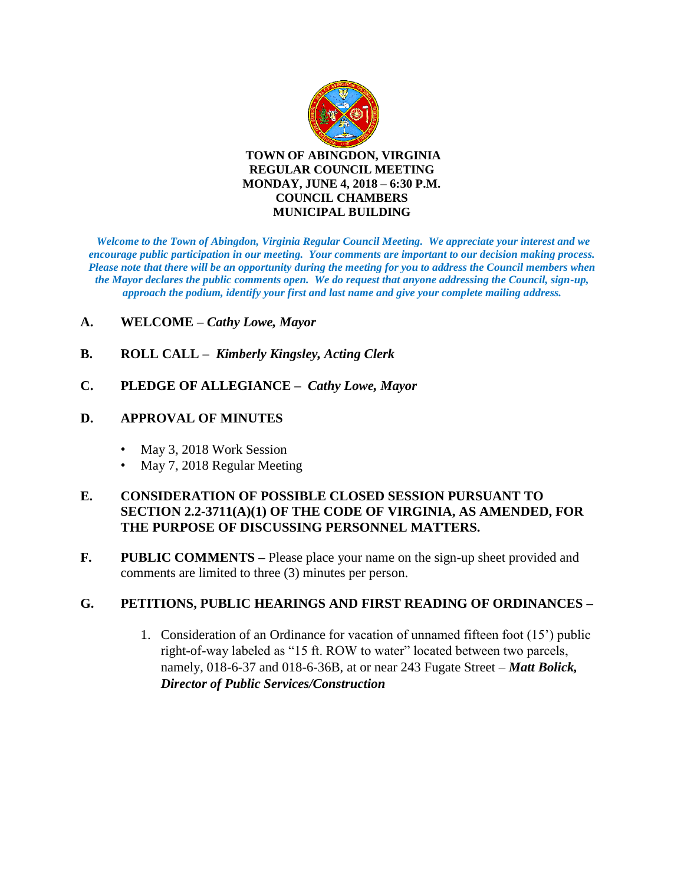

*Welcome to the Town of Abingdon, Virginia Regular Council Meeting. We appreciate your interest and we encourage public participation in our meeting. Your comments are important to our decision making process. Please note that there will be an opportunity during the meeting for you to address the Council members when the Mayor declares the public comments open. We do request that anyone addressing the Council, sign-up, approach the podium, identify your first and last name and give your complete mailing address.* 

### **A. WELCOME –** *Cathy Lowe, Mayor*

- **B. ROLL CALL** *Kimberly Kingsley, Acting Clerk*
- **C. PLEDGE OF ALLEGIANCE** *Cathy Lowe, Mayor*

### **D. APPROVAL OF MINUTES**

- May 3, 2018 Work Session
- May 7, 2018 Regular Meeting

### **E. CONSIDERATION OF POSSIBLE CLOSED SESSION PURSUANT TO SECTION 2.2-3711(A)(1) OF THE CODE OF VIRGINIA, AS AMENDED, FOR THE PURPOSE OF DISCUSSING PERSONNEL MATTERS.**

**F. PUBLIC COMMENTS –** Please place your name on the sign-up sheet provided and comments are limited to three (3) minutes per person.

# **G. PETITIONS, PUBLIC HEARINGS AND FIRST READING OF ORDINANCES –**

1. Consideration of an Ordinance for vacation of unnamed fifteen foot (15') public right-of-way labeled as "15 ft. ROW to water" located between two parcels, namely, 018-6-37 and 018-6-36B, at or near 243 Fugate Street – *Matt Bolick, Director of Public Services/Construction*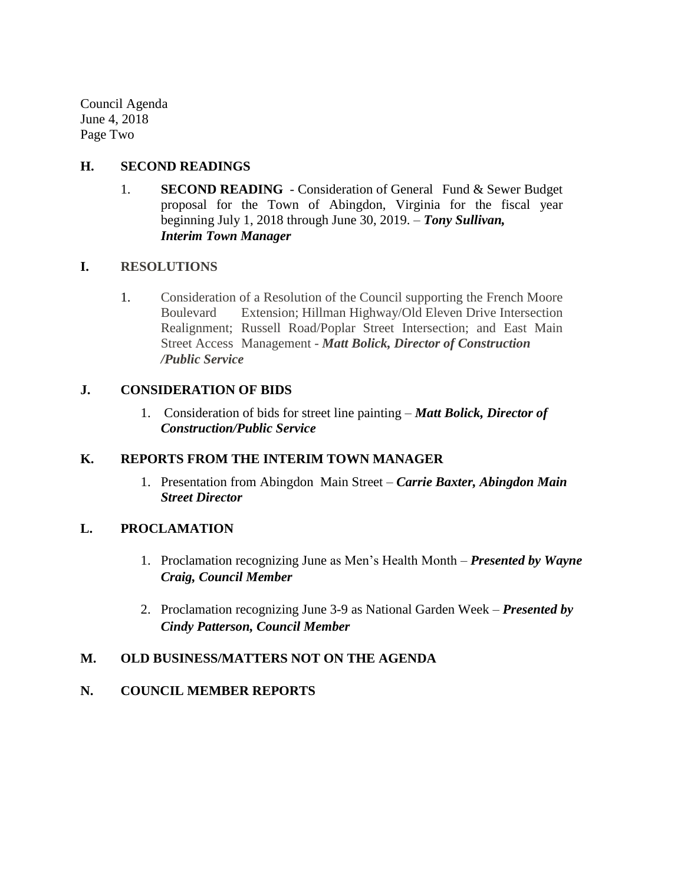Council Agenda June 4, 2018 Page Two

### **H. SECOND READINGS**

1. **SECOND READING** - Consideration of General Fund & Sewer Budget proposal for the Town of Abingdon, Virginia for the fiscal year beginning July 1, 2018 through June 30, 2019. – *Tony Sullivan, Interim Town Manager*

#### **I. RESOLUTIONS**

1. Consideration of a Resolution of the Council supporting the French Moore Boulevard Extension; Hillman Highway/Old Eleven Drive Intersection Realignment; Russell Road/Poplar Street Intersection; and East Main Street Access Management *- Matt Bolick, Director of Construction /Public Service*

### **J. CONSIDERATION OF BIDS**

1. Consideration of bids for street line painting – *Matt Bolick, Director of Construction/Public Service*

# **K. REPORTS FROM THE INTERIM TOWN MANAGER**

1. Presentation from Abingdon Main Street – *Carrie Baxter, Abingdon Main Street Director*

# **L. PROCLAMATION**

- 1. Proclamation recognizing June as Men's Health Month *Presented by Wayne Craig, Council Member*
- 2. Proclamation recognizing June 3-9 as National Garden Week *Presented by Cindy Patterson, Council Member*

# **M. OLD BUSINESS/MATTERS NOT ON THE AGENDA**

### **N. COUNCIL MEMBER REPORTS**